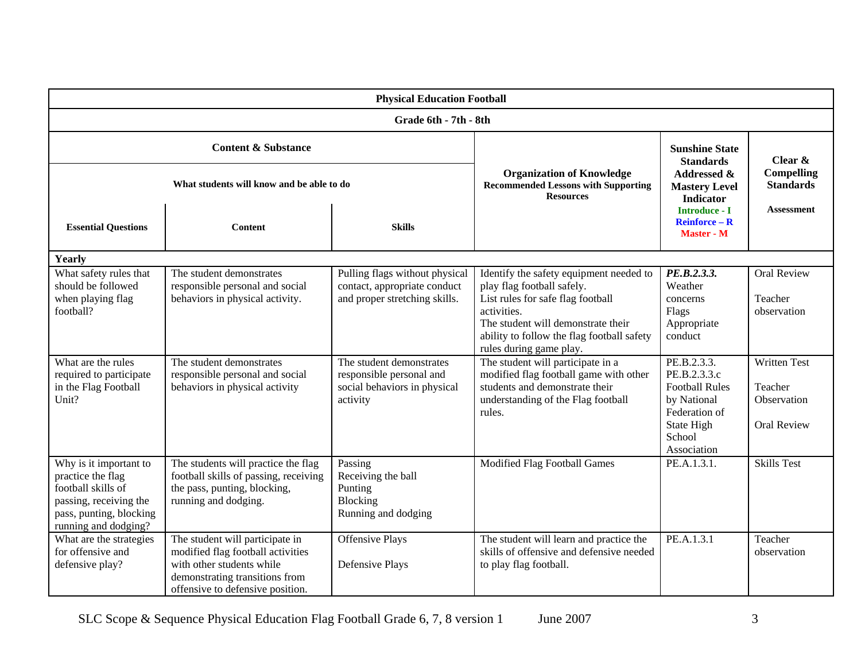| <b>Physical Education Football</b>                                                                                                             |                                                                                                                                                                         |                                                                                                  |                                                                                                                                                                                                                                          |                                                                                                                             |                                                              |  |  |  |  |
|------------------------------------------------------------------------------------------------------------------------------------------------|-------------------------------------------------------------------------------------------------------------------------------------------------------------------------|--------------------------------------------------------------------------------------------------|------------------------------------------------------------------------------------------------------------------------------------------------------------------------------------------------------------------------------------------|-----------------------------------------------------------------------------------------------------------------------------|--------------------------------------------------------------|--|--|--|--|
| Grade 6th - 7th - 8th                                                                                                                          |                                                                                                                                                                         |                                                                                                  |                                                                                                                                                                                                                                          |                                                                                                                             |                                                              |  |  |  |  |
| <b>Content &amp; Substance</b>                                                                                                                 |                                                                                                                                                                         |                                                                                                  | <b>Organization of Knowledge</b><br><b>Recommended Lessons with Supporting</b><br><b>Resources</b>                                                                                                                                       | <b>Sunshine State</b><br><b>Standards</b><br>Addressed &                                                                    | Clear $\&$<br><b>Compelling</b>                              |  |  |  |  |
| What students will know and be able to do                                                                                                      |                                                                                                                                                                         |                                                                                                  |                                                                                                                                                                                                                                          | <b>Mastery Level</b><br><b>Indicator</b><br><b>Introduce - I</b>                                                            | <b>Standards</b><br><b>Assessment</b>                        |  |  |  |  |
| <b>Essential Questions</b>                                                                                                                     | <b>Content</b>                                                                                                                                                          | <b>Skills</b>                                                                                    |                                                                                                                                                                                                                                          | $Reinforce - R$<br><b>Master - M</b>                                                                                        |                                                              |  |  |  |  |
| Yearly                                                                                                                                         |                                                                                                                                                                         |                                                                                                  |                                                                                                                                                                                                                                          |                                                                                                                             |                                                              |  |  |  |  |
| What safety rules that<br>should be followed<br>when playing flag<br>football?                                                                 | The student demonstrates<br>responsible personal and social<br>behaviors in physical activity.                                                                          | Pulling flags without physical<br>contact, appropriate conduct<br>and proper stretching skills.  | Identify the safety equipment needed to<br>play flag football safely.<br>List rules for safe flag football<br>activities.<br>The student will demonstrate their<br>ability to follow the flag football safety<br>rules during game play. | PE.B.2.3.3.<br>Weather<br>concerns<br>Flags<br>Appropriate<br>conduct                                                       | <b>Oral Review</b><br>Teacher<br>observation                 |  |  |  |  |
| What are the rules<br>required to participate<br>in the Flag Football<br>Unit?                                                                 | The student demonstrates<br>responsible personal and social<br>behaviors in physical activity                                                                           | The student demonstrates<br>responsible personal and<br>social behaviors in physical<br>activity | The student will participate in a<br>modified flag football game with other<br>students and demonstrate their<br>understanding of the Flag football<br>rules.                                                                            | PE.B.2.3.3.<br>PE.B.2.3.3.c<br><b>Football Rules</b><br>by National<br>Federation of<br>State High<br>School<br>Association | <b>Written Test</b><br>Teacher<br>Observation<br>Oral Review |  |  |  |  |
| Why is it important to<br>practice the flag<br>football skills of<br>passing, receiving the<br>pass, punting, blocking<br>running and dodging? | The students will practice the flag<br>football skills of passing, receiving<br>the pass, punting, blocking,<br>running and dodging.                                    | Passing<br>Receiving the ball<br>Punting<br>Blocking<br>Running and dodging                      | Modified Flag Football Games                                                                                                                                                                                                             | PE.A.1.3.1.                                                                                                                 | <b>Skills Test</b>                                           |  |  |  |  |
| What are the strategies<br>for offensive and<br>defensive play?                                                                                | The student will participate in<br>modified flag football activities<br>with other students while<br>demonstrating transitions from<br>offensive to defensive position. | <b>Offensive Plays</b><br>Defensive Plays                                                        | The student will learn and practice the<br>skills of offensive and defensive needed<br>to play flag football.                                                                                                                            | PE.A.1.3.1                                                                                                                  | Teacher<br>observation                                       |  |  |  |  |